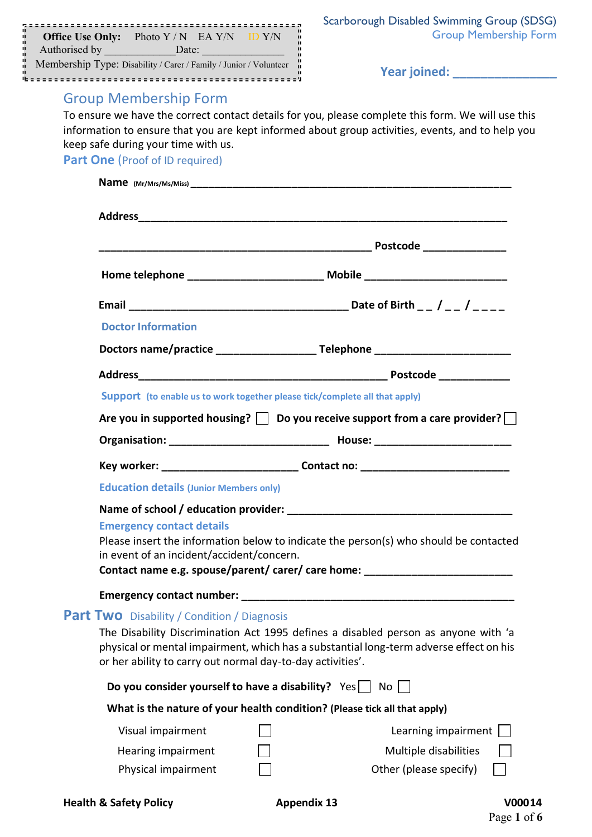| ш<br>8<br>帯 | <b>Office Use Only:</b> Photo $Y/N$ EA $Y/N$ ID $Y/N$<br>Authorised by the control of the control of the control of the control of the control of the control of the control of the control of the control of the control of the control of the control of the control of the control o | Date: |  |
|-------------|-----------------------------------------------------------------------------------------------------------------------------------------------------------------------------------------------------------------------------------------------------------------------------------------|-------|--|
|             | " Membership Type: Disability / Carer / Family / Junior / Volunteer                                                                                                                                                                                                                     |       |  |

# Group Membership Form

To ensure we have the correct contact details for you, please complete this form. We will use this information to ensure that you are kept informed about group activities, events, and to help you keep safe during your time with us.

**Part One** (Proof of ID required)

|                                                                                                   | Home telephone ____________________________ Mobile _____________________________                                                                                             |
|---------------------------------------------------------------------------------------------------|------------------------------------------------------------------------------------------------------------------------------------------------------------------------------|
|                                                                                                   |                                                                                                                                                                              |
| <b>Doctor Information</b>                                                                         |                                                                                                                                                                              |
|                                                                                                   |                                                                                                                                                                              |
|                                                                                                   |                                                                                                                                                                              |
|                                                                                                   | Support (to enable us to work together please tick/complete all that apply)                                                                                                  |
|                                                                                                   | Are you in supported housing? $\Box$ Do you receive support from a care provider? $\Box$                                                                                     |
|                                                                                                   |                                                                                                                                                                              |
|                                                                                                   |                                                                                                                                                                              |
| <b>Education details (Junior Members only)</b>                                                    |                                                                                                                                                                              |
| <b>Emergency contact details</b>                                                                  | Please insert the information below to indicate the person(s) who should be contacted                                                                                        |
| in event of an incident/accident/concern.                                                         |                                                                                                                                                                              |
|                                                                                                   | Contact name e.g. spouse/parent/ carer/ care home: _____________________________                                                                                             |
| or her ability to carry out normal day-to-day activities'.                                        | The Disability Discrimination Act 1995 defines a disabled person as anyone with 'a<br>physical or mental impairment, which has a substantial long-term adverse effect on his |
| Part Two Disability / Condition / Diagnosis<br>Do you consider yourself to have a disability? Yes | No                                                                                                                                                                           |
|                                                                                                   | What is the nature of your health condition? (Please tick all that apply)                                                                                                    |
| Visual impairment                                                                                 | Learning impairment                                                                                                                                                          |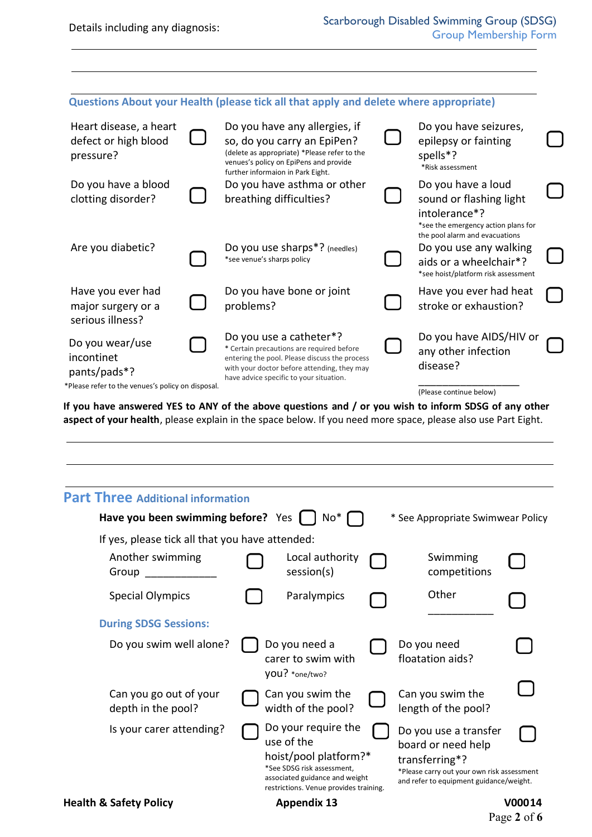|                                                                                                    | Questions About your Health (please tick all that apply and delete where appropriate)                                                                                                                           |                                                                                                                                         |  |
|----------------------------------------------------------------------------------------------------|-----------------------------------------------------------------------------------------------------------------------------------------------------------------------------------------------------------------|-----------------------------------------------------------------------------------------------------------------------------------------|--|
| Heart disease, a heart<br>defect or high blood<br>pressure?                                        | Do you have any allergies, if<br>so, do you carry an EpiPen?<br>(delete as appropriate) *Please refer to the<br>venues's policy on EpiPens and provide<br>further informaion in Park Eight.                     | Do you have seizures,<br>epilepsy or fainting<br>spells <sup>*</sup> ?<br>*Risk assessment                                              |  |
| Do you have a blood<br>clotting disorder?                                                          | Do you have asthma or other<br>breathing difficulties?                                                                                                                                                          | Do you have a loud<br>sound or flashing light<br>intolerance*?<br>*see the emergency action plans for<br>the pool alarm and evacuations |  |
| Are you diabetic?                                                                                  | Do you use sharps*? (needles)<br>*see venue's sharps policy                                                                                                                                                     | Do you use any walking<br>aids or a wheelchair*?<br>*see hoist/platform risk assessment                                                 |  |
| Have you ever had<br>major surgery or a<br>serious illness?                                        | Do you have bone or joint<br>problems?                                                                                                                                                                          | Have you ever had heat<br>stroke or exhaustion?                                                                                         |  |
| Do you wear/use<br>incontinet<br>pants/pads*?<br>* Plasse refer to the venues's noticy on disposal | Do you use a catheter*?<br>* Certain precautions are required before<br>entering the pool. Please discuss the process<br>with your doctor before attending, they may<br>have advice specific to your situation. | Do you have AIDS/HIV or<br>any other infection<br>disease?                                                                              |  |

\*Please refer to the venues's policy on disposal.

(Please continue below)

**If you have answered YES to ANY of the above questions and / or you wish to inform SDSG of any other aspect of your health**, please explain in the space below. If you need more space, please also use Part Eight.

| <b>Part Three Additional information</b><br>Have you been swimming before? Yes<br>$No*$<br>* See Appropriate Swimwear Policy |                                                 |  |                                                                                                                                                                      |  |                                                                                                                                                        |        |
|------------------------------------------------------------------------------------------------------------------------------|-------------------------------------------------|--|----------------------------------------------------------------------------------------------------------------------------------------------------------------------|--|--------------------------------------------------------------------------------------------------------------------------------------------------------|--------|
|                                                                                                                              | If yes, please tick all that you have attended: |  |                                                                                                                                                                      |  |                                                                                                                                                        |        |
| Another swimming<br>Group                                                                                                    |                                                 |  | Local authority<br>session(s)                                                                                                                                        |  | Swimming<br>competitions                                                                                                                               |        |
| <b>Special Olympics</b>                                                                                                      |                                                 |  | Paralympics                                                                                                                                                          |  | Other                                                                                                                                                  |        |
| <b>During SDSG Sessions:</b>                                                                                                 |                                                 |  |                                                                                                                                                                      |  |                                                                                                                                                        |        |
| Do you swim well alone?                                                                                                      |                                                 |  | Do you need a<br>carer to swim with<br>you? *one/two?                                                                                                                |  | Do you need<br>floatation aids?                                                                                                                        |        |
| Can you go out of your<br>depth in the pool?                                                                                 |                                                 |  | Can you swim the<br>width of the pool?                                                                                                                               |  | Can you swim the<br>length of the pool?                                                                                                                |        |
| Is your carer attending?                                                                                                     |                                                 |  | Do your require the<br>use of the<br>hoist/pool platform?*<br>*See SDSG risk assessment,<br>associated guidance and weight<br>restrictions. Venue provides training. |  | Do you use a transfer<br>board or need help<br>transferring*?<br>*Please carry out your own risk assessment<br>and refer to equipment guidance/weight. |        |
| <b>Health &amp; Safety Policy</b>                                                                                            |                                                 |  | <b>Appendix 13</b>                                                                                                                                                   |  |                                                                                                                                                        | V00014 |

Page **2** of **6**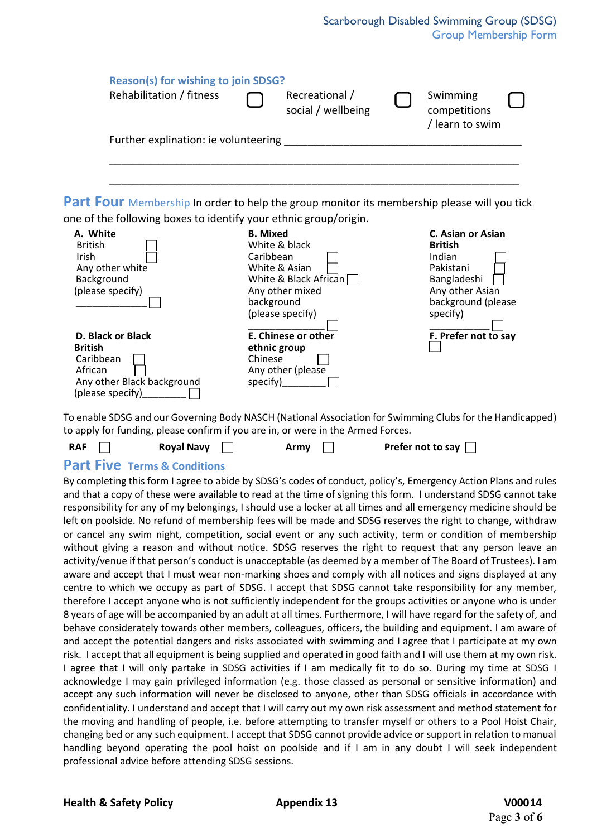| <b>Reason(s) for wishing to join SDSG?</b><br>Rehabilitation / fitness                             | Recreational /<br>social / wellbeing                                                          | Swimming<br>competitions<br>/ learn to swim                                |  |
|----------------------------------------------------------------------------------------------------|-----------------------------------------------------------------------------------------------|----------------------------------------------------------------------------|--|
| Further explination: ie volunteering                                                               |                                                                                               |                                                                            |  |
| <b>Part Four</b> Membership In order to help the group monitor its membership please will you tick |                                                                                               |                                                                            |  |
| one of the following boxes to identify your ethnic group/origin.                                   |                                                                                               |                                                                            |  |
| A. White<br><b>British</b><br>Irish<br>Any other white<br>Dool <i>iasound</i>                      | <b>B.</b> Mixed<br>White & black<br>Caribbean<br>White & Asian<br>$M/kH \sim 0$ Dlask African | C. Asian or Asian<br><b>British</b><br>Indian<br>Pakistani<br>Donaloglach: |  |

| Any other white            | White & Asian         | Pakistani            |
|----------------------------|-----------------------|----------------------|
| Background                 | White & Black African | Bangladeshi          |
| (please specify)           | Any other mixed       | Any other Asian      |
|                            | background            | background (please   |
|                            | (please specify)      | specify)             |
|                            |                       |                      |
| D. Black or Black          | E. Chinese or other   | F. Prefer not to say |
| <b>British</b>             | ethnic group          |                      |
| Caribbean                  | Chinese               |                      |
| African                    | Any other (please     |                      |
| Any other Black background | specify)              |                      |
| (please specify)           |                       |                      |
|                            |                       |                      |

To enable SDSG and our Governing Body NASCH (National Association for Swimming Clubs for the Handicapped) to apply for funding, please confirm if you are in, or were in the Armed Forces.

| <b>RAF</b> | <b>Royal Navy</b> | Army | Prefer not to say $\Box$ |
|------------|-------------------|------|--------------------------|
|------------|-------------------|------|--------------------------|

### **Part Five Terms & Conditions**

By completing this form I agree to abide by SDSG's codes of conduct, policy's, Emergency Action Plans and rules and that a copy of these were available to read at the time of signing this form. I understand SDSG cannot take responsibility for any of my belongings, I should use a locker at all times and all emergency medicine should be left on poolside. No refund of membership fees will be made and SDSG reserves the right to change, withdraw or cancel any swim night, competition, social event or any such activity, term or condition of membership without giving a reason and without notice. SDSG reserves the right to request that any person leave an activity/venue if that person's conduct is unacceptable (as deemed by a member of The Board of Trustees). I am aware and accept that I must wear non-marking shoes and comply with all notices and signs displayed at any centre to which we occupy as part of SDSG. I accept that SDSG cannot take responsibility for any member, therefore I accept anyone who is not sufficiently independent for the groups activities or anyone who is under 8 years of age will be accompanied by an adult at all times. Furthermore, I will have regard for the safety of, and behave considerately towards other members, colleagues, officers, the building and equipment. I am aware of and accept the potential dangers and risks associated with swimming and I agree that I participate at my own risk. I accept that all equipment is being supplied and operated in good faith and I will use them at my own risk. I agree that I will only partake in SDSG activities if I am medically fit to do so. During my time at SDSG I acknowledge I may gain privileged information (e.g. those classed as personal or sensitive information) and accept any such information will never be disclosed to anyone, other than SDSG officials in accordance with confidentiality. I understand and accept that I will carry out my own risk assessment and method statement for the moving and handling of people, i.e. before attempting to transfer myself or others to a Pool Hoist Chair, changing bed or any such equipment. I accept that SDSG cannot provide advice or support in relation to manual handling beyond operating the pool hoist on poolside and if I am in any doubt I will seek independent professional advice before attending SDSG sessions.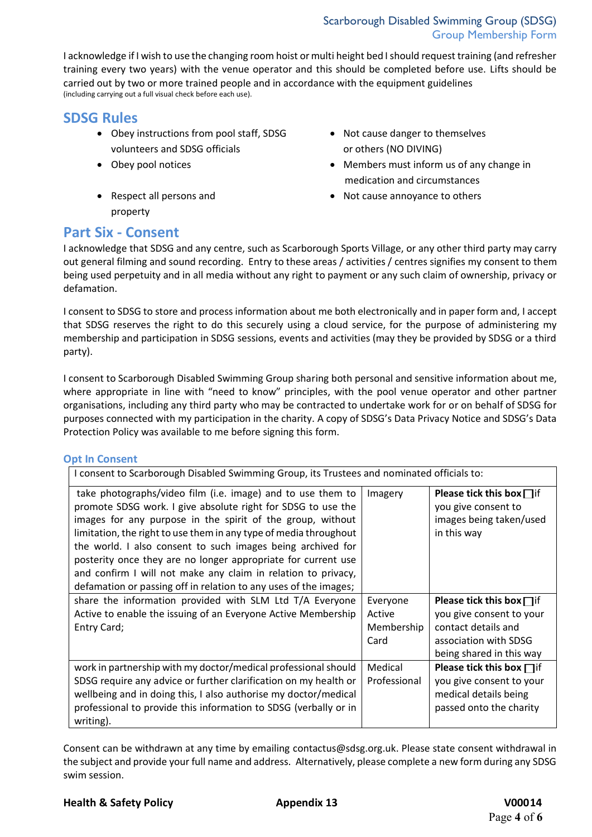#### Scarborough Disabled Swimming Group (SDSG) Group Membership Form

I acknowledge if I wish to use the changing room hoist or multi height bed I should request training (and refresher training every two years) with the venue operator and this should be completed before use. Lifts should be carried out by two or more trained people and in accordance with the equipment guidelines (including carrying out a full visual check before each use).

## **SDSG Rules**

- Obey instructions from pool staff, SDSG volunteers and SDSG officials
- 
- Respect all persons and property
- Not cause danger to themselves or others (NO DIVING)
- Obey pool notices **1992** Members must inform us of any change in medication and circumstances
	- Not cause annoyance to others

# **Part Six - Consent**

I acknowledge that SDSG and any centre, such as Scarborough Sports Village, or any other third party may carry out general filming and sound recording. Entry to these areas / activities / centres signifies my consent to them being used perpetuity and in all media without any right to payment or any such claim of ownership, privacy or defamation.

I consent to SDSG to store and process information about me both electronically and in paper form and, I accept that SDSG reserves the right to do this securely using a cloud service, for the purpose of administering my membership and participation in SDSG sessions, events and activities (may they be provided by SDSG or a third party).

I consent to Scarborough Disabled Swimming Group sharing both personal and sensitive information about me, where appropriate in line with "need to know" principles, with the pool venue operator and other partner organisations, including any third party who may be contracted to undertake work for or on behalf of SDSG for purposes connected with my participation in the charity. A copy of SDSG's Data Privacy Notice and SDSG's Data Protection Policy was available to me before signing this form.

#### **Opt In Consent**

| I consent to Scarborough Disabled Swimming Group, its Trustees and nominated officials to:                                                                                                                                                                                                                                                                                                                                                                                                                                          |                                          |                                                                                                                                        |  |
|-------------------------------------------------------------------------------------------------------------------------------------------------------------------------------------------------------------------------------------------------------------------------------------------------------------------------------------------------------------------------------------------------------------------------------------------------------------------------------------------------------------------------------------|------------------------------------------|----------------------------------------------------------------------------------------------------------------------------------------|--|
| take photographs/video film (i.e. image) and to use them to<br>promote SDSG work. I give absolute right for SDSG to use the<br>images for any purpose in the spirit of the group, without<br>limitation, the right to use them in any type of media throughout<br>the world. I also consent to such images being archived for<br>posterity once they are no longer appropriate for current use<br>and confirm I will not make any claim in relation to privacy,<br>defamation or passing off in relation to any uses of the images; | Imagery                                  | Please tick this box $\Box$ if<br>you give consent to<br>images being taken/used<br>in this way                                        |  |
| share the information provided with SLM Ltd T/A Everyone<br>Active to enable the issuing of an Everyone Active Membership<br>Entry Card;                                                                                                                                                                                                                                                                                                                                                                                            | Everyone<br>Active<br>Membership<br>Card | Please tick this box $\Box$ if<br>you give consent to your<br>contact details and<br>association with SDSG<br>being shared in this way |  |
| work in partnership with my doctor/medical professional should<br>SDSG require any advice or further clarification on my health or<br>wellbeing and in doing this, I also authorise my doctor/medical<br>professional to provide this information to SDSG (verbally or in<br>writing).                                                                                                                                                                                                                                              | Medical<br>Professional                  | <b>Please tick this box</b> $\Box$ if<br>you give consent to your<br>medical details being<br>passed onto the charity                  |  |

Consent can be withdrawn at any time by emailing [contactus@sdsg.org.uk.](mailto:contactus@sdsg.org.uk) Please state consent withdrawal in the subject and provide your full name and address. Alternatively, please complete a new form during any SDSG swim session.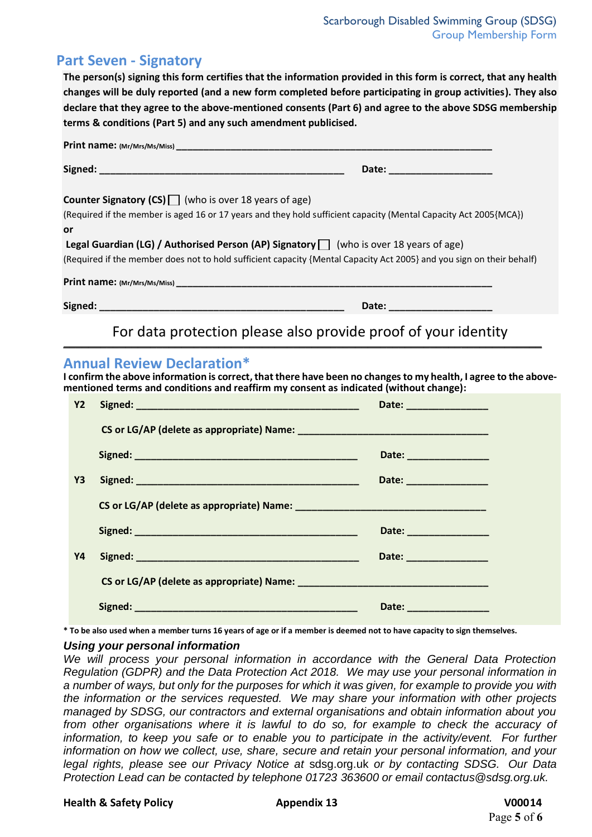## **Part Seven - Signatory**

**The person(s) signing this form certifies that the information provided in this form is correct, that any health changes will be duly reported (and a new form completed before participating in group activities). They also declare that they agree to the above-mentioned consents (Part 6) and agree to the above SDSG membership terms & conditions (Part 5) and any such amendment publicised.** 

|                                                                                                                                                                                 | Date: ______________________                                                                                          |
|---------------------------------------------------------------------------------------------------------------------------------------------------------------------------------|-----------------------------------------------------------------------------------------------------------------------|
| <b>Counter Signatory (CS)</b> (who is over 18 years of age)<br>(Required if the member is aged 16 or 17 years and they hold sufficient capacity (Mental Capacity Act 2005{MCA}) |                                                                                                                       |
| or                                                                                                                                                                              |                                                                                                                       |
| Legal Guardian (LG) / Authorised Person (AP) Signatory $\Box$ (who is over 18 years of age)                                                                                     |                                                                                                                       |
|                                                                                                                                                                                 | (Required if the member does not to hold sufficient capacity {Mental Capacity Act 2005} and you sign on their behalf) |
|                                                                                                                                                                                 |                                                                                                                       |
|                                                                                                                                                                                 |                                                                                                                       |

For data protection please also provide proof of your identity **\_\_\_\_\_\_\_\_\_\_\_\_\_\_\_\_\_\_\_\_\_\_\_\_\_\_\_\_\_\_\_\_\_\_\_\_\_\_\_\_\_\_\_\_\_\_\_\_\_\_\_\_\_\_\_\_\_\_\_\_\_\_\_\_\_\_\_\_\_\_\_\_\_\_\_\_\_**

### **Annual Review Declaration\***

**I confirm the above information is correct, that there have been no changes to my health, I agree to the abovementioned terms and conditions and reaffirm my consent as indicated (without change):**

| Y2 | Date: ________________   |
|----|--------------------------|
|    |                          |
|    | Date: _________________  |
| Y3 | Date: _________________  |
|    |                          |
|    | Date: __________________ |
| Y4 | Date: _________________  |
|    |                          |
|    | Date: _________________  |

**\* To be also used when a member turns 16 years of age or if a member is deemed not to have capacity to sign themselves.** 

#### *Using your personal information*

*We will process your personal information in accordance with the General Data Protection Regulation (GDPR) and the Data Protection Act 2018. We may use your personal information in a number of ways, but only for the purposes for which it was given, for example to provide you with the information or the services requested. We may share your information with other projects managed by SDSG, our contractors and external organisations and obtain information about you from other organisations where it is lawful to do so, for example to check the accuracy of information, to keep you safe or to enable you to participate in the activity/event. For further information on how we collect, use, share, secure and retain your personal information, and your legal rights, please see our Privacy Notice at* sdsg.org.uk *or by contacting SDSG. Our Data Protection Lead can be contacted by telephone 01723 363600 or email contactus@sdsg.org.uk.*

#### **Health & Safety Policy Appendix 13 V00014**